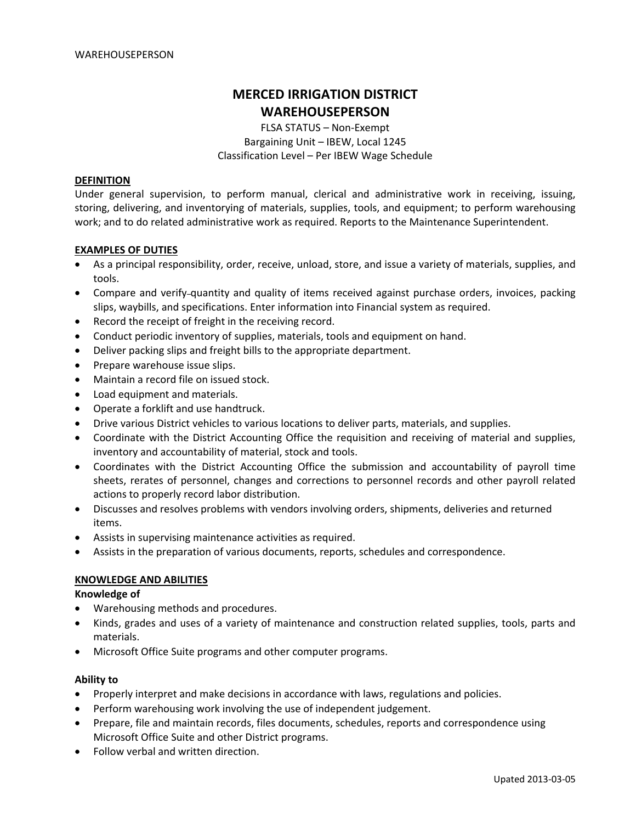# **MERCED IRRIGATION DISTRICT WAREHOUSEPERSON**

FLSA STATUS – Non‐Exempt Bargaining Unit – IBEW, Local 1245 Classification Level – Per IBEW Wage Schedule

### **DEFINITION**

Under general supervision, to perform manual, clerical and administrative work in receiving, issuing, storing, delivering, and inventorying of materials, supplies, tools, and equipment; to perform warehousing work; and to do related administrative work as required. Reports to the Maintenance Superintendent.

### **EXAMPLES OF DUTIES**

- As a principal responsibility, order, receive, unload, store, and issue a variety of materials, supplies, and tools.
- Compare and verify-quantity and quality of items received against purchase orders, invoices, packing slips, waybills, and specifications. Enter information into Financial system as required.
- Record the receipt of freight in the receiving record.
- Conduct periodic inventory of supplies, materials, tools and equipment on hand.
- Deliver packing slips and freight bills to the appropriate department.
- Prepare warehouse issue slips.
- Maintain a record file on issued stock.
- Load equipment and materials.
- Operate a forklift and use handtruck.
- Drive various District vehicles to various locations to deliver parts, materials, and supplies.
- Coordinate with the District Accounting Office the requisition and receiving of material and supplies, inventory and accountability of material, stock and tools.
- Coordinates with the District Accounting Office the submission and accountability of payroll time sheets, rerates of personnel, changes and corrections to personnel records and other payroll related actions to properly record labor distribution.
- Discusses and resolves problems with vendors involving orders, shipments, deliveries and returned items.
- Assists in supervising maintenance activities as required.
- Assists in the preparation of various documents, reports, schedules and correspondence.

# **KNOWLEDGE AND ABILITIES**

### **Knowledge of**

- Warehousing methods and procedures.
- Kinds, grades and uses of a variety of maintenance and construction related supplies, tools, parts and materials.
- Microsoft Office Suite programs and other computer programs.

### **Ability to**

- Properly interpret and make decisions in accordance with laws, regulations and policies.
- Perform warehousing work involving the use of independent judgement.
- Prepare, file and maintain records, files documents, schedules, reports and correspondence using Microsoft Office Suite and other District programs.
- Follow verbal and written direction.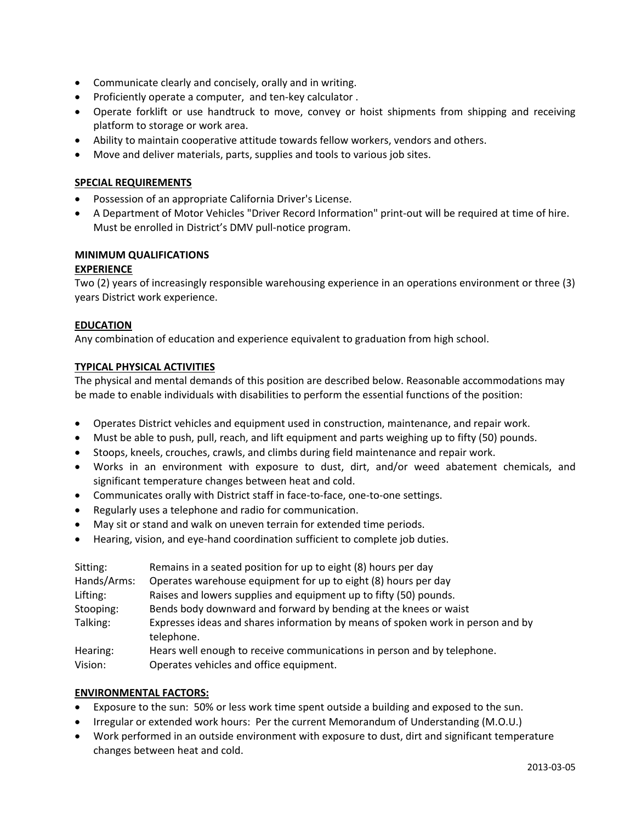- Communicate clearly and concisely, orally and in writing.
- Proficiently operate a computer, and ten‐key calculator .
- Operate forklift or use handtruck to move, convey or hoist shipments from shipping and receiving platform to storage or work area.
- Ability to maintain cooperative attitude towards fellow workers, vendors and others.
- Move and deliver materials, parts, supplies and tools to various job sites.

### **SPECIAL REQUIREMENTS**

- Possession of an appropriate California Driver's License.
- A Department of Motor Vehicles "Driver Record Information" print‐out will be required at time of hire. Must be enrolled in District's DMV pull‐notice program.

# **MINIMUM QUALIFICATIONS**

### **EXPERIENCE**

Two (2) years of increasingly responsible warehousing experience in an operations environment or three (3) years District work experience.

### **EDUCATION**

Any combination of education and experience equivalent to graduation from high school.

### **TYPICAL PHYSICAL ACTIVITIES**

The physical and mental demands of this position are described below. Reasonable accommodations may be made to enable individuals with disabilities to perform the essential functions of the position:

- Operates District vehicles and equipment used in construction, maintenance, and repair work.
- Must be able to push, pull, reach, and lift equipment and parts weighing up to fifty (50) pounds.
- Stoops, kneels, crouches, crawls, and climbs during field maintenance and repair work.
- Works in an environment with exposure to dust, dirt, and/or weed abatement chemicals, and significant temperature changes between heat and cold.
- Communicates orally with District staff in face-to-face, one-to-one settings.
- Regularly uses a telephone and radio for communication.
- May sit or stand and walk on uneven terrain for extended time periods.
- Hearing, vision, and eye-hand coordination sufficient to complete job duties.

| Sitting:<br>Hands/Arms:<br>Lifting: | Remains in a seated position for up to eight (8) hours per day<br>Operates warehouse equipment for up to eight (8) hours per day<br>Raises and lowers supplies and equipment up to fifty (50) pounds. |
|-------------------------------------|-------------------------------------------------------------------------------------------------------------------------------------------------------------------------------------------------------|
| Stooping:                           | Bends body downward and forward by bending at the knees or waist                                                                                                                                      |
| Talking:                            | Expresses ideas and shares information by means of spoken work in person and by<br>telephone.                                                                                                         |
| Hearing:                            | Hears well enough to receive communications in person and by telephone.                                                                                                                               |
| Vision:                             | Operates vehicles and office equipment.                                                                                                                                                               |

### **ENVIRONMENTAL FACTORS:**

- Exposure to the sun: 50% or less work time spent outside a building and exposed to the sun.
- Irregular or extended work hours: Per the current Memorandum of Understanding (M.O.U.)
- Work performed in an outside environment with exposure to dust, dirt and significant temperature changes between heat and cold.